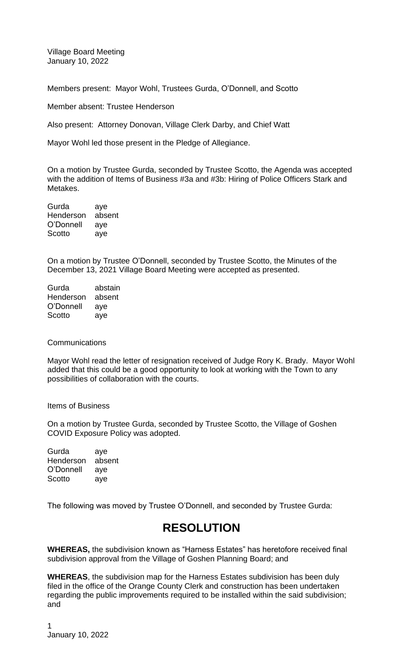Village Board Meeting January 10, 2022

Members present: Mayor Wohl, Trustees Gurda, O'Donnell, and Scotto

Member absent: Trustee Henderson

Also present: Attorney Donovan, Village Clerk Darby, and Chief Watt

Mayor Wohl led those present in the Pledge of Allegiance.

On a motion by Trustee Gurda, seconded by Trustee Scotto, the Agenda was accepted with the addition of Items of Business #3a and #3b: Hiring of Police Officers Stark and Metakes.

Gurda aye Henderson absent O'Donnell aye Scotto aye

On a motion by Trustee O'Donnell, seconded by Trustee Scotto, the Minutes of the December 13, 2021 Village Board Meeting were accepted as presented.

| Gurda     | abstain |
|-----------|---------|
| Henderson | absent  |
| O'Donnell | aye     |
| Scotto    | ave     |

#### **Communications**

Mayor Wohl read the letter of resignation received of Judge Rory K. Brady. Mayor Wohl added that this could be a good opportunity to look at working with the Town to any possibilities of collaboration with the courts.

Items of Business

On a motion by Trustee Gurda, seconded by Trustee Scotto, the Village of Goshen COVID Exposure Policy was adopted.

Gurda aye Henderson absent O'Donnell aye Scotto aye

The following was moved by Trustee O'Donnell, and seconded by Trustee Gurda:

# **RESOLUTION**

**WHEREAS,** the subdivision known as "Harness Estates" has heretofore received final subdivision approval from the Village of Goshen Planning Board; and

**WHEREAS**, the subdivision map for the Harness Estates subdivision has been duly filed in the office of the Orange County Clerk and construction has been undertaken regarding the public improvements required to be installed within the said subdivision; and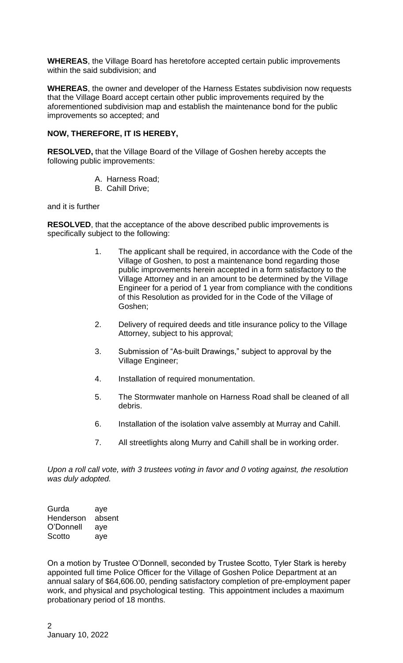**WHEREAS**, the Village Board has heretofore accepted certain public improvements within the said subdivision; and

**WHEREAS**, the owner and developer of the Harness Estates subdivision now requests that the Village Board accept certain other public improvements required by the aforementioned subdivision map and establish the maintenance bond for the public improvements so accepted; and

## **NOW, THEREFORE, IT IS HEREBY,**

**RESOLVED,** that the Village Board of the Village of Goshen hereby accepts the following public improvements:

- A. Harness Road;
- B. Cahill Drive;

and it is further

**RESOLVED**, that the acceptance of the above described public improvements is specifically subject to the following:

- 1. The applicant shall be required, in accordance with the Code of the Village of Goshen, to post a maintenance bond regarding those public improvements herein accepted in a form satisfactory to the Village Attorney and in an amount to be determined by the Village Engineer for a period of 1 year from compliance with the conditions of this Resolution as provided for in the Code of the Village of Goshen;
- 2. Delivery of required deeds and title insurance policy to the Village Attorney, subject to his approval;
- 3. Submission of "As-built Drawings," subject to approval by the Village Engineer;
- 4. Installation of required monumentation.
- 5. The Stormwater manhole on Harness Road shall be cleaned of all debris.
- 6. Installation of the isolation valve assembly at Murray and Cahill.
- 7. All streetlights along Murry and Cahill shall be in working order.

*Upon a roll call vote, with 3 trustees voting in favor and 0 voting against, the resolution was duly adopted.*

Gurda aye Henderson absent O'Donnell aye Scotto aye

On a motion by Trustee O'Donnell, seconded by Trustee Scotto, Tyler Stark is hereby appointed full time Police Officer for the Village of Goshen Police Department at an annual salary of \$64,606.00, pending satisfactory completion of pre-employment paper work, and physical and psychological testing. This appointment includes a maximum probationary period of 18 months.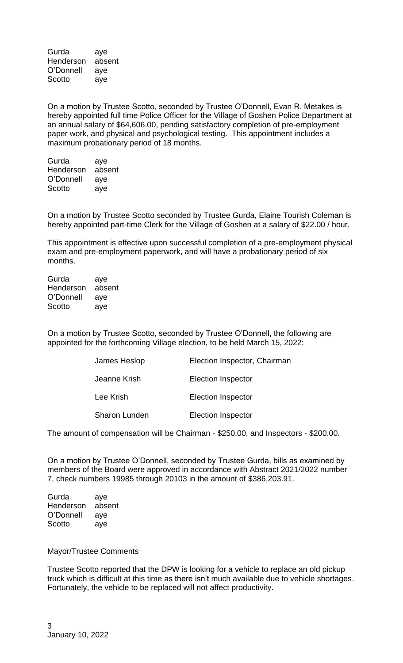Gurda aye Henderson absent O'Donnell aye Scotto aye

On a motion by Trustee Scotto, seconded by Trustee O'Donnell, Evan R. Metakes is hereby appointed full time Police Officer for the Village of Goshen Police Department at an annual salary of \$64,606.00, pending satisfactory completion of pre-employment paper work, and physical and psychological testing. This appointment includes a maximum probationary period of 18 months.

Gurda aye Henderson absent O'Donnell aye Scotto aye

On a motion by Trustee Scotto seconded by Trustee Gurda, Elaine Tourish Coleman is hereby appointed part-time Clerk for the Village of Goshen at a salary of \$22.00 / hour.

This appointment is effective upon successful completion of a pre-employment physical exam and pre-employment paperwork, and will have a probationary period of six months.

Gurda aye Henderson absent O'Donnell aye Scotto aye

On a motion by Trustee Scotto, seconded by Trustee O'Donnell, the following are appointed for the forthcoming Village election, to be held March 15, 2022:

| James Heslop  | Election Inspector, Chairman |
|---------------|------------------------------|
| Jeanne Krish  | <b>Election Inspector</b>    |
| Lee Krish     | <b>Election Inspector</b>    |
| Sharon Lunden | <b>Election Inspector</b>    |

The amount of compensation will be Chairman - \$250.00, and Inspectors - \$200.00.

On a motion by Trustee O'Donnell, seconded by Trustee Gurda, bills as examined by members of the Board were approved in accordance with Abstract 2021/2022 number 7, check numbers 19985 through 20103 in the amount of \$386,203.91.

Gurda aye Henderson absent O'Donnell aye Scotto aye

Mayor/Trustee Comments

Trustee Scotto reported that the DPW is looking for a vehicle to replace an old pickup truck which is difficult at this time as there isn't much available due to vehicle shortages. Fortunately, the vehicle to be replaced will not affect productivity.